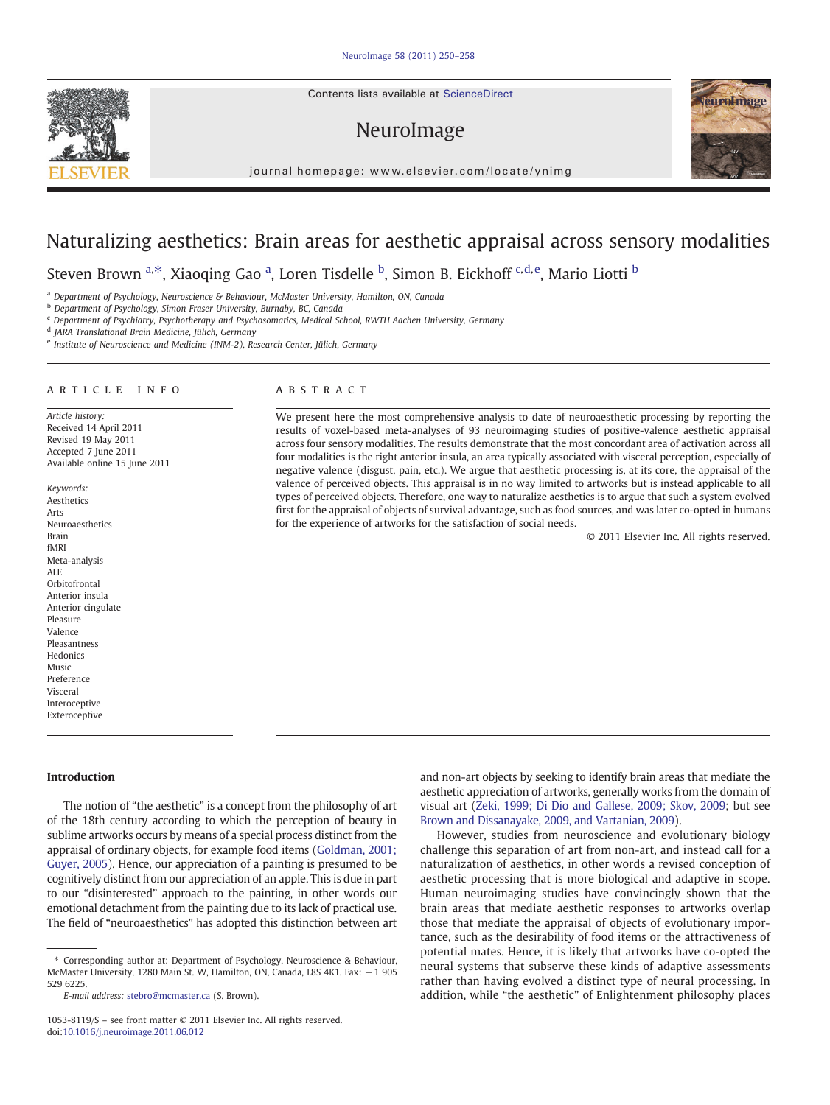Contents lists available at ScienceDirect

# NeuroImage



journal homepage: www.elsevier.com/locate/ynimg

# Naturalizing aesthetics: Brain areas for aesthetic appraisal across sensory modalities

Steven Brown <sup>a,\*</sup>, Xiaoqing Gao <sup>a</sup>, Loren Tisdelle <sup>b</sup>, Simon B. Eickhoff <sup>c,d,e</sup>, Mario Liotti <sup>b</sup>

<sup>a</sup> Department of Psychology, Neuroscience & Behaviour, McMaster University, Hamilton, ON, Canada

b Department of Psychology, Simon Fraser University, Burnaby, BC, Canada

<sup>c</sup> Department of Psychiatry, Psychotherapy and Psychosomatics, Medical School, RWTH Aachen University, Germany

<sup>d</sup> JARA Translational Brain Medicine, Jülich, Germany

e Institute of Neuroscience and Medicine (INM-2), Research Center, Jülich, Germany

# article info abstract

Article history: Received 14 April 2011 Revised 19 May 2011 Accepted 7 June 2011 Available online 15 June 2011

Keywords: Aesthetics Arts Neuroaesthetics Brain fMRI Meta-analysis ALE Orbitofrontal Anterior insula Anterior cingulate Pleasure Valence Pleasantness Hedonics Music Preference Visceral Interoceptive Exteroceptive

We present here the most comprehensive analysis to date of neuroaesthetic processing by reporting the results of voxel-based meta-analyses of 93 neuroimaging studies of positive-valence aesthetic appraisal across four sensory modalities. The results demonstrate that the most concordant area of activation across all four modalities is the right anterior insula, an area typically associated with visceral perception, especially of negative valence (disgust, pain, etc.). We argue that aesthetic processing is, at its core, the appraisal of the valence of perceived objects. This appraisal is in no way limited to artworks but is instead applicable to all types of perceived objects. Therefore, one way to naturalize aesthetics is to argue that such a system evolved first for the appraisal of objects of survival advantage, such as food sources, and was later co-opted in humans for the experience of artworks for the satisfaction of social needs.

© 2011 Elsevier Inc. All rights reserved.

# Introduction

The notion of "the aesthetic" is a concept from the philosophy of art of the 18th century according to which the perception of beauty in sublime artworks occurs by means of a special process distinct from the appraisal of ordinary objects, for example food items ([Goldman, 2001;](#page-7-0) [Guyer, 2005](#page-7-0)). Hence, our appreciation of a painting is presumed to be cognitively distinct from our appreciation of an apple. This is due in part to our "disinterested" approach to the painting, in other words our emotional detachment from the painting due to its lack of practical use. The field of "neuroaesthetics" has adopted this distinction between art and non-art objects by seeking to identify brain areas that mediate the aesthetic appreciation of artworks, generally works from the domain of visual art ([Zeki, 1999; Di Dio and Gallese, 2009; Skov, 2009;](#page-8-0) but see [Brown and Dissanayake, 2009, and Vartanian, 2009](#page-7-0)).

However, studies from neuroscience and evolutionary biology challenge this separation of art from non-art, and instead call for a naturalization of aesthetics, in other words a revised conception of aesthetic processing that is more biological and adaptive in scope. Human neuroimaging studies have convincingly shown that the brain areas that mediate aesthetic responses to artworks overlap those that mediate the appraisal of objects of evolutionary importance, such as the desirability of food items or the attractiveness of potential mates. Hence, it is likely that artworks have co-opted the neural systems that subserve these kinds of adaptive assessments rather than having evolved a distinct type of neural processing. In addition, while "the aesthetic" of Enlightenment philosophy places

<span id="page-0-0"></span>

<sup>⁎</sup> Corresponding author at: Department of Psychology, Neuroscience & Behaviour, McMaster University, 1280 Main St. W, Hamilton, ON, Canada, L8S 4K1. Fax: +1 905 529 6225.

E-mail address: [stebro@mcmaster.ca](mailto:stebro@mcmaster.ca) (S. Brown).

<sup>1053-8119/\$</sup> – see front matter © 2011 Elsevier Inc. All rights reserved. doi[:10.1016/j.neuroimage.2011.06.012](http://dx.doi.org/10.1016/j.neuroimage.2011.06.012)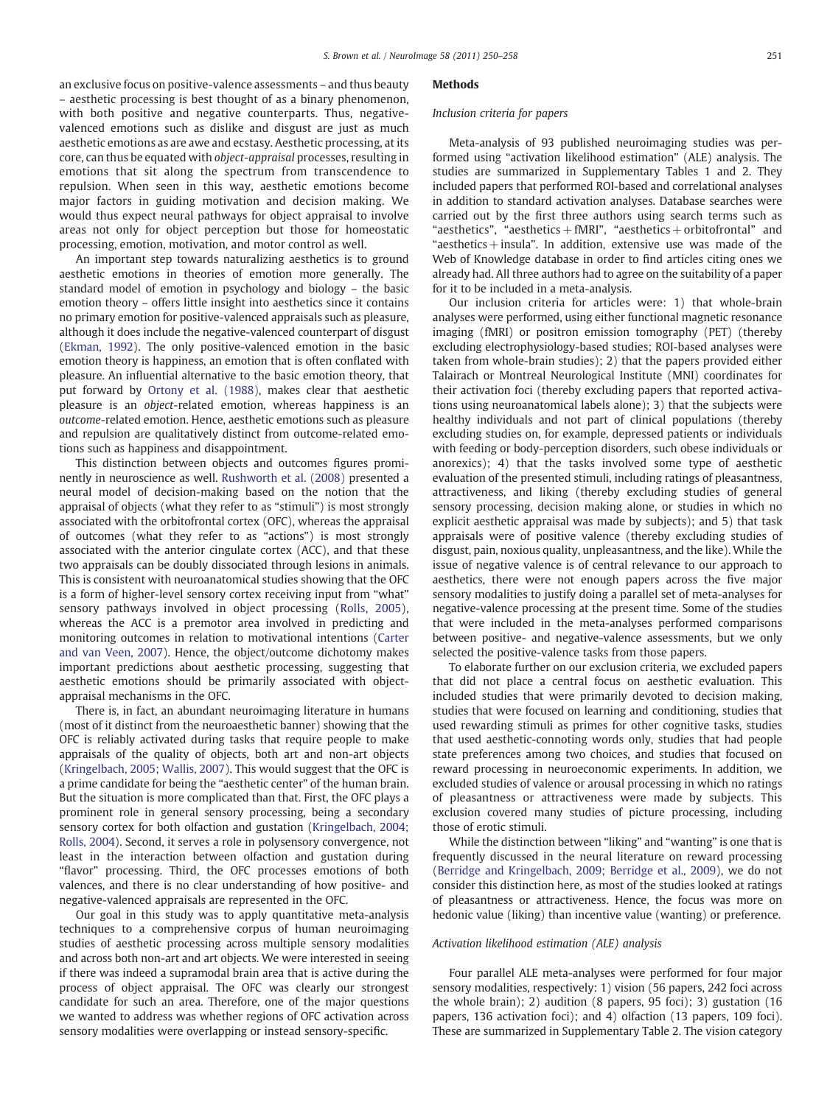an exclusive focus on positive-valence assessments – and thus beauty – aesthetic processing is best thought of as a binary phenomenon, with both positive and negative counterparts. Thus, negativevalenced emotions such as dislike and disgust are just as much aesthetic emotions as are awe and ecstasy. Aesthetic processing, at its core, can thus be equated with object-appraisal processes, resulting in emotions that sit along the spectrum from transcendence to repulsion. When seen in this way, aesthetic emotions become major factors in guiding motivation and decision making. We would thus expect neural pathways for object appraisal to involve areas not only for object perception but those for homeostatic processing, emotion, motivation, and motor control as well.

An important step towards naturalizing aesthetics is to ground aesthetic emotions in theories of emotion more generally. The standard model of emotion in psychology and biology – the basic emotion theory – offers little insight into aesthetics since it contains no primary emotion for positive-valenced appraisals such as pleasure, although it does include the negative-valenced counterpart of disgust [\(Ekman, 1992\)](#page-7-0). The only positive-valenced emotion in the basic emotion theory is happiness, an emotion that is often conflated with pleasure. An influential alternative to the basic emotion theory, that put forward by [Ortony et al. \(1988\),](#page-7-0) makes clear that aesthetic pleasure is an object-related emotion, whereas happiness is an outcome-related emotion. Hence, aesthetic emotions such as pleasure and repulsion are qualitatively distinct from outcome-related emotions such as happiness and disappointment.

This distinction between objects and outcomes figures prominently in neuroscience as well. [Rushworth et al. \(2008\)](#page-8-0) presented a neural model of decision-making based on the notion that the appraisal of objects (what they refer to as "stimuli") is most strongly associated with the orbitofrontal cortex (OFC), whereas the appraisal of outcomes (what they refer to as "actions") is most strongly associated with the anterior cingulate cortex (ACC), and that these two appraisals can be doubly dissociated through lesions in animals. This is consistent with neuroanatomical studies showing that the OFC is a form of higher-level sensory cortex receiving input from "what" sensory pathways involved in object processing [\(Rolls, 2005](#page-7-0)), whereas the ACC is a premotor area involved in predicting and monitoring outcomes in relation to motivational intentions [\(Carter](#page-7-0) [and van Veen, 2007](#page-7-0)). Hence, the object/outcome dichotomy makes important predictions about aesthetic processing, suggesting that aesthetic emotions should be primarily associated with objectappraisal mechanisms in the OFC.

There is, in fact, an abundant neuroimaging literature in humans (most of it distinct from the neuroaesthetic banner) showing that the OFC is reliably activated during tasks that require people to make appraisals of the quality of objects, both art and non-art objects [\(Kringelbach, 2005; Wallis, 2007](#page-7-0)). This would suggest that the OFC is a prime candidate for being the "aesthetic center" of the human brain. But the situation is more complicated than that. First, the OFC plays a prominent role in general sensory processing, being a secondary sensory cortex for both olfaction and gustation [\(Kringelbach, 2004;](#page-7-0) [Rolls, 2004](#page-7-0)). Second, it serves a role in polysensory convergence, not least in the interaction between olfaction and gustation during "flavor" processing. Third, the OFC processes emotions of both valences, and there is no clear understanding of how positive- and negative-valenced appraisals are represented in the OFC.

Our goal in this study was to apply quantitative meta-analysis techniques to a comprehensive corpus of human neuroimaging studies of aesthetic processing across multiple sensory modalities and across both non-art and art objects. We were interested in seeing if there was indeed a supramodal brain area that is active during the process of object appraisal. The OFC was clearly our strongest candidate for such an area. Therefore, one of the major questions we wanted to address was whether regions of OFC activation across sensory modalities were overlapping or instead sensory-specific.

# **Methods**

# Inclusion criteria for papers

Meta-analysis of 93 published neuroimaging studies was performed using "activation likelihood estimation" (ALE) analysis. The studies are summarized in Supplementary Tables 1 and 2. They included papers that performed ROI-based and correlational analyses in addition to standard activation analyses. Database searches were carried out by the first three authors using search terms such as "aesthetics", "aesthetics+ fMRI", "aesthetics+ orbitofrontal" and "aesthetics  $+$  insula". In addition, extensive use was made of the Web of Knowledge database in order to find articles citing ones we already had. All three authors had to agree on the suitability of a paper for it to be included in a meta-analysis.

Our inclusion criteria for articles were: 1) that whole-brain analyses were performed, using either functional magnetic resonance imaging (fMRI) or positron emission tomography (PET) (thereby excluding electrophysiology-based studies; ROI-based analyses were taken from whole-brain studies); 2) that the papers provided either Talairach or Montreal Neurological Institute (MNI) coordinates for their activation foci (thereby excluding papers that reported activations using neuroanatomical labels alone); 3) that the subjects were healthy individuals and not part of clinical populations (thereby excluding studies on, for example, depressed patients or individuals with feeding or body-perception disorders, such obese individuals or anorexics); 4) that the tasks involved some type of aesthetic evaluation of the presented stimuli, including ratings of pleasantness, attractiveness, and liking (thereby excluding studies of general sensory processing, decision making alone, or studies in which no explicit aesthetic appraisal was made by subjects); and 5) that task appraisals were of positive valence (thereby excluding studies of disgust, pain, noxious quality, unpleasantness, and the like). While the issue of negative valence is of central relevance to our approach to aesthetics, there were not enough papers across the five major sensory modalities to justify doing a parallel set of meta-analyses for negative-valence processing at the present time. Some of the studies that were included in the meta-analyses performed comparisons between positive- and negative-valence assessments, but we only selected the positive-valence tasks from those papers.

To elaborate further on our exclusion criteria, we excluded papers that did not place a central focus on aesthetic evaluation. This included studies that were primarily devoted to decision making, studies that were focused on learning and conditioning, studies that used rewarding stimuli as primes for other cognitive tasks, studies that used aesthetic-connoting words only, studies that had people state preferences among two choices, and studies that focused on reward processing in neuroeconomic experiments. In addition, we excluded studies of valence or arousal processing in which no ratings of pleasantness or attractiveness were made by subjects. This exclusion covered many studies of picture processing, including those of erotic stimuli.

While the distinction between "liking" and "wanting" is one that is frequently discussed in the neural literature on reward processing [\(Berridge and Kringelbach, 2009; Berridge et al., 2009\)](#page-7-0), we do not consider this distinction here, as most of the studies looked at ratings of pleasantness or attractiveness. Hence, the focus was more on hedonic value (liking) than incentive value (wanting) or preference.

# Activation likelihood estimation (ALE) analysis

Four parallel ALE meta-analyses were performed for four major sensory modalities, respectively: 1) vision (56 papers, 242 foci across the whole brain); 2) audition (8 papers, 95 foci); 3) gustation (16 papers, 136 activation foci); and 4) olfaction (13 papers, 109 foci). These are summarized in Supplementary Table 2. The vision category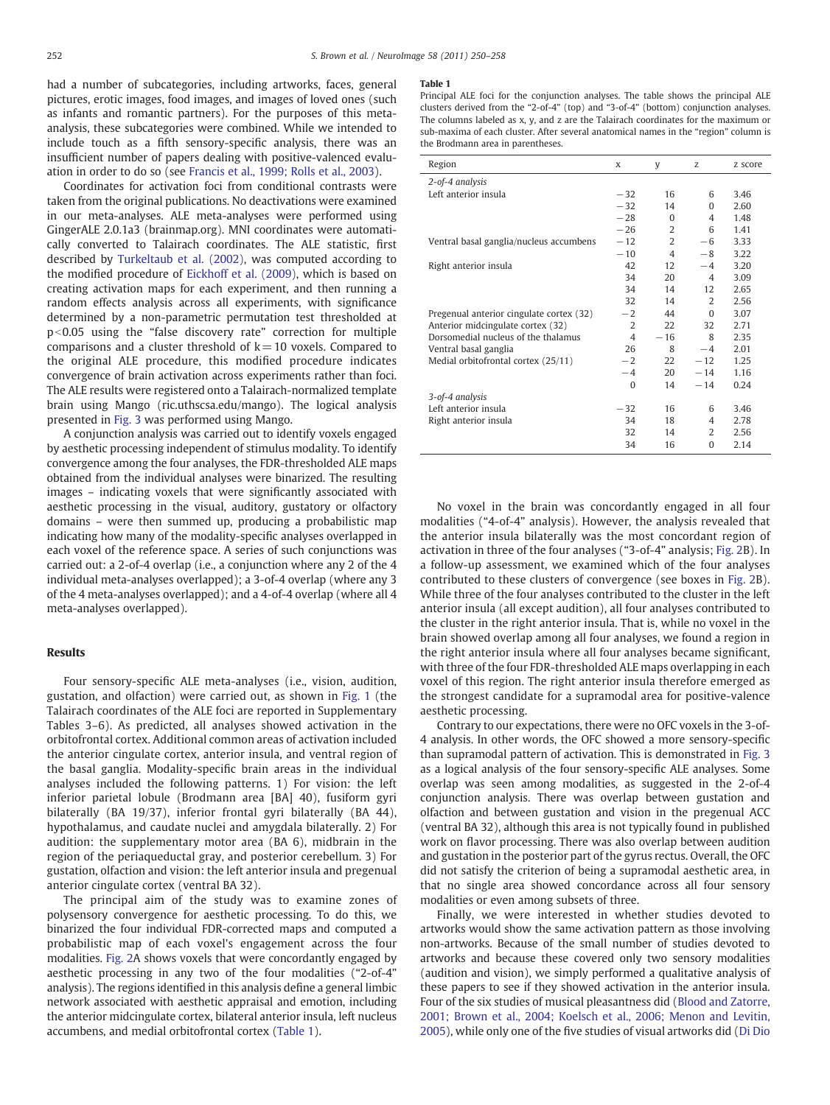had a number of subcategories, including artworks, faces, general pictures, erotic images, food images, and images of loved ones (such as infants and romantic partners). For the purposes of this metaanalysis, these subcategories were combined. While we intended to include touch as a fifth sensory-specific analysis, there was an insufficient number of papers dealing with positive-valenced evaluation in order to do so (see [Francis et al., 1999; Rolls et al., 2003\)](#page-7-0).

Coordinates for activation foci from conditional contrasts were taken from the original publications. No deactivations were examined in our meta-analyses. ALE meta-analyses were performed using GingerALE 2.0.1a3 (brainmap.org). MNI coordinates were automatically converted to Talairach coordinates. The ALE statistic, first described by [Turkeltaub et al. \(2002\)](#page-8-0), was computed according to the modified procedure of [Eickhoff et al. \(2009\),](#page-7-0) which is based on creating activation maps for each experiment, and then running a random effects analysis across all experiments, with significance determined by a non-parametric permutation test thresholded at  $p$ <0.05 using the "false discovery rate" correction for multiple comparisons and a cluster threshold of  $k = 10$  voxels. Compared to the original ALE procedure, this modified procedure indicates convergence of brain activation across experiments rather than foci. The ALE results were registered onto a Talairach-normalized template brain using Mango (ric.uthscsa.edu/mango). The logical analysis presented in [Fig. 3](#page-4-0) was performed using Mango.

A conjunction analysis was carried out to identify voxels engaged by aesthetic processing independent of stimulus modality. To identify convergence among the four analyses, the FDR-thresholded ALE maps obtained from the individual analyses were binarized. The resulting images – indicating voxels that were significantly associated with aesthetic processing in the visual, auditory, gustatory or olfactory domains – were then summed up, producing a probabilistic map indicating how many of the modality-specific analyses overlapped in each voxel of the reference space. A series of such conjunctions was carried out: a 2-of-4 overlap (i.e., a conjunction where any 2 of the 4 individual meta-analyses overlapped); a 3-of-4 overlap (where any 3 of the 4 meta-analyses overlapped); and a 4-of-4 overlap (where all 4 meta-analyses overlapped).

### Results

Four sensory-specific ALE meta-analyses (i.e., vision, audition, gustation, and olfaction) were carried out, as shown in [Fig. 1](#page-3-0) (the Talairach coordinates of the ALE foci are reported in Supplementary Tables 3–6). As predicted, all analyses showed activation in the orbitofrontal cortex. Additional common areas of activation included the anterior cingulate cortex, anterior insula, and ventral region of the basal ganglia. Modality-specific brain areas in the individual analyses included the following patterns. 1) For vision: the left inferior parietal lobule (Brodmann area [BA] 40), fusiform gyri bilaterally (BA 19/37), inferior frontal gyri bilaterally (BA 44), hypothalamus, and caudate nuclei and amygdala bilaterally. 2) For audition: the supplementary motor area (BA 6), midbrain in the region of the periaqueductal gray, and posterior cerebellum. 3) For gustation, olfaction and vision: the left anterior insula and pregenual anterior cingulate cortex (ventral BA 32).

The principal aim of the study was to examine zones of polysensory convergence for aesthetic processing. To do this, we binarized the four individual FDR-corrected maps and computed a probabilistic map of each voxel's engagement across the four modalities. [Fig. 2A](#page-4-0) shows voxels that were concordantly engaged by aesthetic processing in any two of the four modalities ("2-of-4" analysis). The regions identified in this analysis define a general limbic network associated with aesthetic appraisal and emotion, including the anterior midcingulate cortex, bilateral anterior insula, left nucleus accumbens, and medial orbitofrontal cortex (Table 1).

#### Table 1

Principal ALE foci for the conjunction analyses. The table shows the principal ALE clusters derived from the "2-of-4" (top) and "3-of-4" (bottom) conjunction analyses. The columns labeled as x, y, and z are the Talairach coordinates for the maximum or sub-maxima of each cluster. After several anatomical names in the "region" column is the Brodmann area in parentheses.

| Region                                   | X              | y                        | $Z_{\cdot}$    | z score |
|------------------------------------------|----------------|--------------------------|----------------|---------|
| 2-of-4 analysis                          |                |                          |                |         |
| Left anterior insula                     | $-32$          | 16                       | 6              | 3.46    |
|                                          | $-32$          | 14                       | O              | 2.60    |
|                                          | $-28$          | $\Omega$                 | 4              | 1.48    |
|                                          | $-26$          | $\overline{2}$           | 6              | 1.41    |
| Ventral basal ganglia/nucleus accumbens  | $-12$          | $\overline{2}$           | $-6$           | 3.33    |
|                                          | $-10$          | $\overline{\mathcal{A}}$ | $-8$           | 3.22    |
| Right anterior insula                    | 42             | 12                       | $-4$           | 3.20    |
|                                          | 34             | 20                       | 4              | 3.09    |
|                                          | 34             | 14                       | 12             | 2.65    |
|                                          | 32             | 14                       | $\overline{2}$ | 2.56    |
| Pregenual anterior cingulate cortex (32) | $-2$           | 44                       | $\Omega$       | 3.07    |
| Anterior midcingulate cortex (32)        | $\overline{2}$ | 22                       | 32             | 2.71    |
| Dorsomedial nucleus of the thalamus      | $\overline{4}$ | $-16$                    | 8              | 2.35    |
| Ventral basal ganglia                    | 26             | 8                        | $-4$           | 2.01    |
| Medial orbitofrontal cortex (25/11)      | $-2$           | 22                       | $-12$          | 1.25    |
|                                          | $-4$           | 20                       | $-14$          | 1.16    |
|                                          | $\Omega$       | 14                       | $-14$          | 0.24    |
| 3-of-4 analysis                          |                |                          |                |         |
| Left anterior insula                     | $-32$          | 16                       | 6              | 3.46    |
| Right anterior insula                    | 34             | 18                       | 4              | 2.78    |
|                                          | 32             | 14                       | 2              | 2.56    |
|                                          | 34             | 16                       | $\Omega$       | 2.14    |

No voxel in the brain was concordantly engaged in all four modalities ("4-of-4" analysis). However, the analysis revealed that the anterior insula bilaterally was the most concordant region of activation in three of the four analyses ("3-of-4" analysis; [Fig. 2](#page-4-0)B). In a follow-up assessment, we examined which of the four analyses contributed to these clusters of convergence (see boxes in [Fig. 2B](#page-4-0)). While three of the four analyses contributed to the cluster in the left anterior insula (all except audition), all four analyses contributed to the cluster in the right anterior insula. That is, while no voxel in the brain showed overlap among all four analyses, we found a region in the right anterior insula where all four analyses became significant, with three of the four FDR-thresholded ALE maps overlapping in each voxel of this region. The right anterior insula therefore emerged as the strongest candidate for a supramodal area for positive-valence aesthetic processing.

Contrary to our expectations, there were no OFC voxels in the 3-of-4 analysis. In other words, the OFC showed a more sensory-specific than supramodal pattern of activation. This is demonstrated in [Fig. 3](#page-4-0) as a logical analysis of the four sensory-specific ALE analyses. Some overlap was seen among modalities, as suggested in the 2-of-4 conjunction analysis. There was overlap between gustation and olfaction and between gustation and vision in the pregenual ACC (ventral BA 32), although this area is not typically found in published work on flavor processing. There was also overlap between audition and gustation in the posterior part of the gyrus rectus. Overall, the OFC did not satisfy the criterion of being a supramodal aesthetic area, in that no single area showed concordance across all four sensory modalities or even among subsets of three.

Finally, we were interested in whether studies devoted to artworks would show the same activation pattern as those involving non-artworks. Because of the small number of studies devoted to artworks and because these covered only two sensory modalities (audition and vision), we simply performed a qualitative analysis of these papers to see if they showed activation in the anterior insula. Four of the six studies of musical pleasantness did [\(Blood and Zatorre,](#page-7-0) [2001; Brown et al., 2004; Koelsch et al., 2006; Menon and Levitin,](#page-7-0) [2005\)](#page-7-0), while only one of the five studies of visual artworks did ([Di Dio](#page-7-0)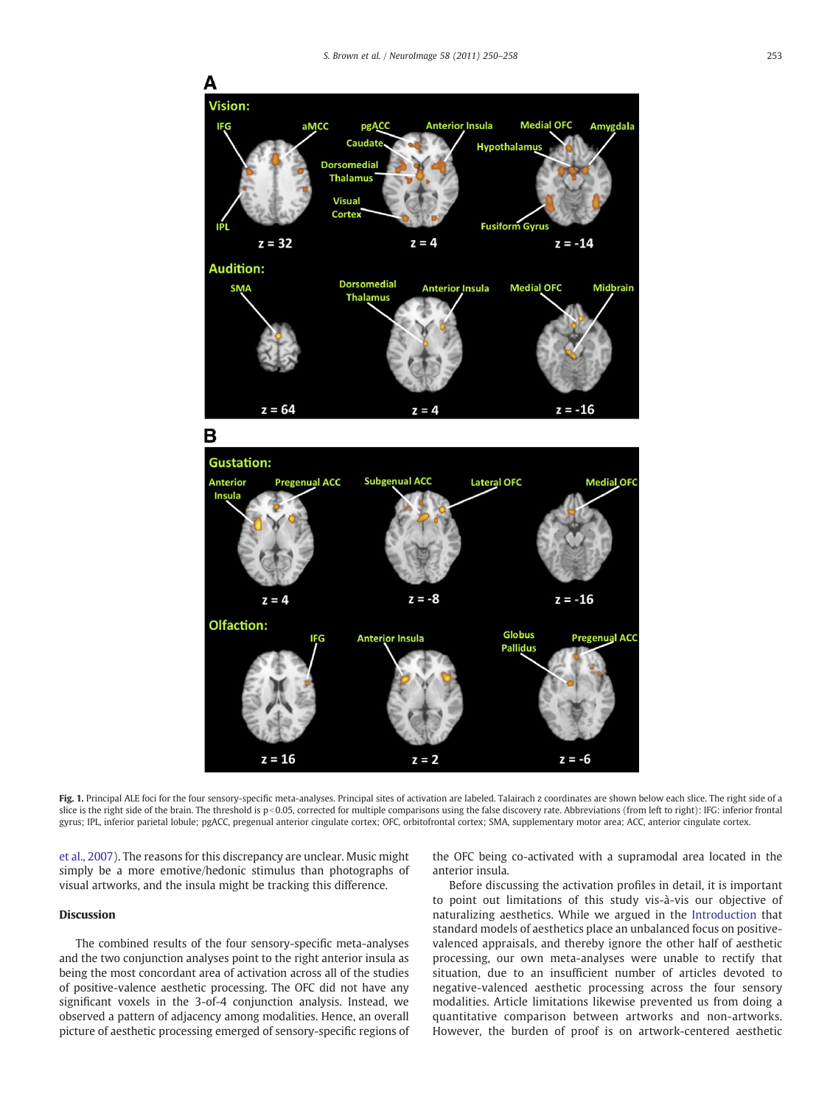<span id="page-3-0"></span>

Fig. 1. Principal ALE foci for the four sensory-specific meta-analyses. Principal sites of activation are labeled. Talairach z coordinates are shown below each slice. The right side of a slice is the right side of the brain. The threshold is p<0.05, corrected for multiple comparisons using the false discovery rate. Abbreviations (from left to right): IFG: inferior frontal gyrus; IPL, inferior parietal lobule; pgACC, pregenual anterior cingulate cortex; OFC, orbitofrontal cortex; SMA, supplementary motor area; ACC, anterior cingulate cortex.

[et al., 2007](#page-7-0)). The reasons for this discrepancy are unclear. Music might simply be a more emotive/hedonic stimulus than photographs of visual artworks, and the insula might be tracking this difference.

# Discussion

The combined results of the four sensory-specific meta-analyses and the two conjunction analyses point to the right anterior insula as being the most concordant area of activation across all of the studies of positive-valence aesthetic processing. The OFC did not have any significant voxels in the 3-of-4 conjunction analysis. Instead, we observed a pattern of adjacency among modalities. Hence, an overall picture of aesthetic processing emerged of sensory-specific regions of the OFC being co-activated with a supramodal area located in the anterior insula.

Before discussing the activation profiles in detail, it is important to point out limitations of this study vis-à-vis our objective of naturalizing aesthetics. While we argued in the [Introduction](#page-0-0) that standard models of aesthetics place an unbalanced focus on positivevalenced appraisals, and thereby ignore the other half of aesthetic processing, our own meta-analyses were unable to rectify that situation, due to an insufficient number of articles devoted to negative-valenced aesthetic processing across the four sensory modalities. Article limitations likewise prevented us from doing a quantitative comparison between artworks and non-artworks. However, the burden of proof is on artwork-centered aesthetic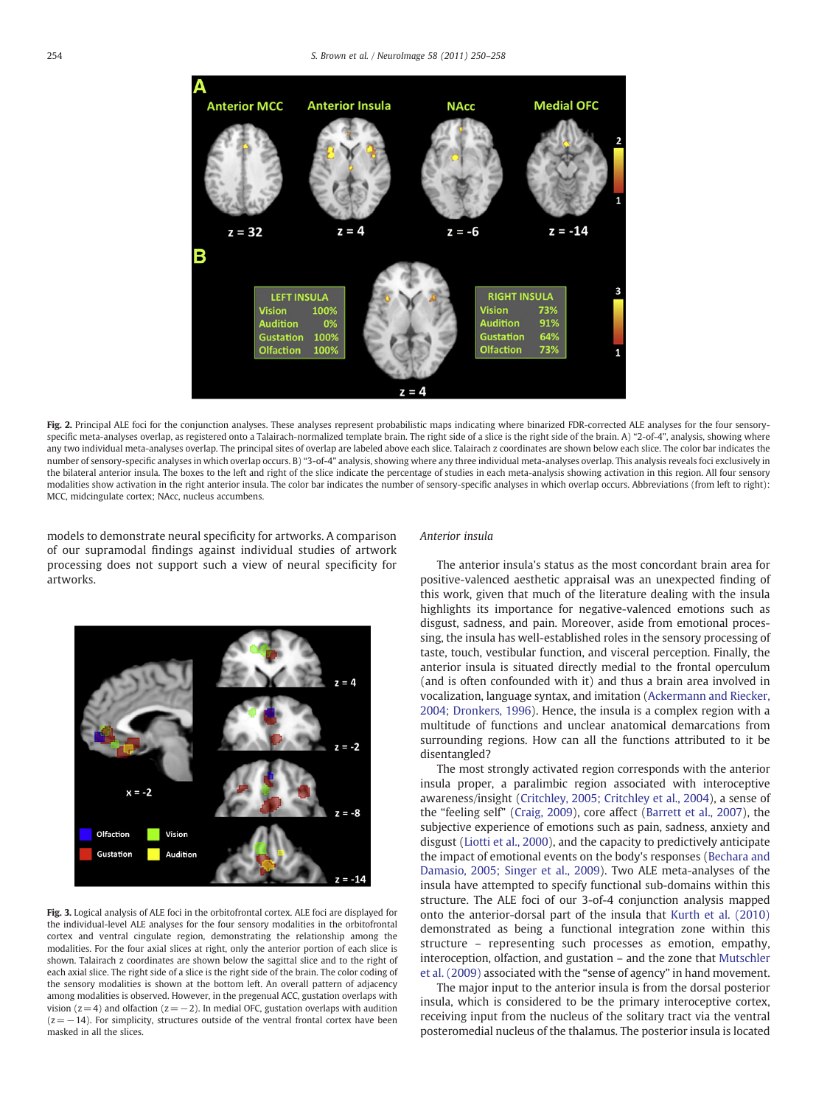<span id="page-4-0"></span>

Fig. 2. Principal ALE foci for the conjunction analyses. These analyses represent probabilistic maps indicating where binarized FDR-corrected ALE analyses for the four sensoryspecific meta-analyses overlap, as registered onto a Talairach-normalized template brain. The right side of a slice is the right side of the brain. A) "2-of-4", analysis, showing where any two individual meta-analyses overlap. The principal sites of overlap are labeled above each slice. Talairach z coordinates are shown below each slice. The color bar indicates the number of sensory-specific analyses in which overlap occurs. B) "3-of-4" analysis, showing where any three individual meta-analyses overlap. This analysis reveals foci exclusively in the bilateral anterior insula. The boxes to the left and right of the slice indicate the percentage of studies in each meta-analysis showing activation in this region. All four sensory modalities show activation in the right anterior insula. The color bar indicates the number of sensory-specific analyses in which overlap occurs. Abbreviations (from left to right): MCC, midcingulate cortex; NAcc, nucleus accumbens.

models to demonstrate neural specificity for artworks. A comparison of our supramodal findings against individual studies of artwork processing does not support such a view of neural specificity for artworks.



Fig. 3. Logical analysis of ALE foci in the orbitofrontal cortex. ALE foci are displayed for the individual-level ALE analyses for the four sensory modalities in the orbitofrontal cortex and ventral cingulate region, demonstrating the relationship among the modalities. For the four axial slices at right, only the anterior portion of each slice is shown. Talairach z coordinates are shown below the sagittal slice and to the right of each axial slice. The right side of a slice is the right side of the brain. The color coding of the sensory modalities is shown at the bottom left. An overall pattern of adjacency among modalities is observed. However, in the pregenual ACC, gustation overlaps with vision ( $z = 4$ ) and olfaction ( $z = -2$ ). In medial OFC, gustation overlaps with audition  $(z=-14)$ . For simplicity, structures outside of the ventral frontal cortex have been masked in all the slices.

#### Anterior insula

The anterior insula's status as the most concordant brain area for positive-valenced aesthetic appraisal was an unexpected finding of this work, given that much of the literature dealing with the insula highlights its importance for negative-valenced emotions such as disgust, sadness, and pain. Moreover, aside from emotional processing, the insula has well-established roles in the sensory processing of taste, touch, vestibular function, and visceral perception. Finally, the anterior insula is situated directly medial to the frontal operculum (and is often confounded with it) and thus a brain area involved in vocalization, language syntax, and imitation [\(Ackermann and Riecker,](#page-7-0) [2004; Dronkers, 1996](#page-7-0)). Hence, the insula is a complex region with a multitude of functions and unclear anatomical demarcations from surrounding regions. How can all the functions attributed to it be disentangled?

The most strongly activated region corresponds with the anterior insula proper, a paralimbic region associated with interoceptive awareness/insight ([Critchley, 2005; Critchley et al., 2004\)](#page-7-0), a sense of the "feeling self" [\(Craig, 2009\)](#page-7-0), core affect ([Barrett et al., 2007\)](#page-7-0), the subjective experience of emotions such as pain, sadness, anxiety and disgust [\(Liotti et al., 2000](#page-7-0)), and the capacity to predictively anticipate the impact of emotional events on the body's responses [\(Bechara and](#page-7-0) [Damasio, 2005; Singer et al., 2009\)](#page-7-0). Two ALE meta-analyses of the insula have attempted to specify functional sub-domains within this structure. The ALE foci of our 3-of-4 conjunction analysis mapped onto the anterior-dorsal part of the insula that [Kurth et al. \(2010\)](#page-7-0) demonstrated as being a functional integration zone within this structure – representing such processes as emotion, empathy, interoception, olfaction, and gustation – and the zone that [Mutschler](#page-7-0) [et al. \(2009\)](#page-7-0) associated with the "sense of agency" in hand movement.

The major input to the anterior insula is from the dorsal posterior insula, which is considered to be the primary interoceptive cortex, receiving input from the nucleus of the solitary tract via the ventral posteromedial nucleus of the thalamus. The posterior insula is located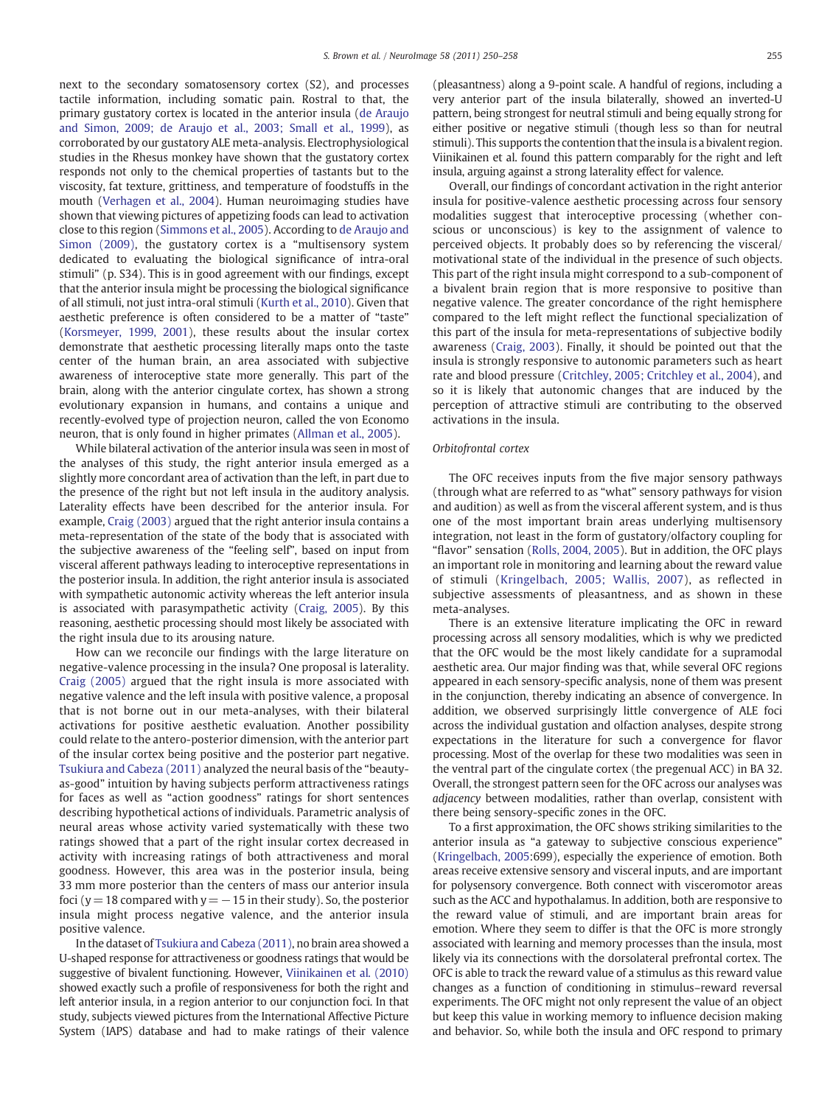next to the secondary somatosensory cortex (S2), and processes tactile information, including somatic pain. Rostral to that, the primary gustatory cortex is located in the anterior insula ([de Araujo](#page-7-0) [and Simon, 2009; de Araujo et al., 2003; Small et al., 1999](#page-7-0)), as corroborated by our gustatory ALE meta-analysis. Electrophysiological studies in the Rhesus monkey have shown that the gustatory cortex responds not only to the chemical properties of tastants but to the viscosity, fat texture, grittiness, and temperature of foodstuffs in the mouth ([Verhagen et al., 2004\)](#page-8-0). Human neuroimaging studies have shown that viewing pictures of appetizing foods can lead to activation close to this region [\(Simmons et al., 2005](#page-8-0)). According to [de Araujo and](#page-7-0) [Simon \(2009\),](#page-7-0) the gustatory cortex is a "multisensory system dedicated to evaluating the biological significance of intra-oral stimuli" (p. S34). This is in good agreement with our findings, except that the anterior insula might be processing the biological significance of all stimuli, not just intra-oral stimuli [\(Kurth et al., 2010\)](#page-7-0). Given that aesthetic preference is often considered to be a matter of "taste" [\(Korsmeyer, 1999, 2001](#page-7-0)), these results about the insular cortex demonstrate that aesthetic processing literally maps onto the taste center of the human brain, an area associated with subjective awareness of interoceptive state more generally. This part of the brain, along with the anterior cingulate cortex, has shown a strong evolutionary expansion in humans, and contains a unique and recently-evolved type of projection neuron, called the von Economo neuron, that is only found in higher primates ([Allman et al., 2005](#page-7-0)).

While bilateral activation of the anterior insula was seen in most of the analyses of this study, the right anterior insula emerged as a slightly more concordant area of activation than the left, in part due to the presence of the right but not left insula in the auditory analysis. Laterality effects have been described for the anterior insula. For example, [Craig \(2003\)](#page-7-0) argued that the right anterior insula contains a meta-representation of the state of the body that is associated with the subjective awareness of the "feeling self", based on input from visceral afferent pathways leading to interoceptive representations in the posterior insula. In addition, the right anterior insula is associated with sympathetic autonomic activity whereas the left anterior insula is associated with parasympathetic activity ([Craig, 2005](#page-7-0)). By this reasoning, aesthetic processing should most likely be associated with the right insula due to its arousing nature.

How can we reconcile our findings with the large literature on negative-valence processing in the insula? One proposal is laterality. [Craig \(2005\)](#page-7-0) argued that the right insula is more associated with negative valence and the left insula with positive valence, a proposal that is not borne out in our meta-analyses, with their bilateral activations for positive aesthetic evaluation. Another possibility could relate to the antero-posterior dimension, with the anterior part of the insular cortex being positive and the posterior part negative. [Tsukiura and Cabeza \(2011\)](#page-8-0) analyzed the neural basis of the "beautyas-good" intuition by having subjects perform attractiveness ratings for faces as well as "action goodness" ratings for short sentences describing hypothetical actions of individuals. Parametric analysis of neural areas whose activity varied systematically with these two ratings showed that a part of the right insular cortex decreased in activity with increasing ratings of both attractiveness and moral goodness. However, this area was in the posterior insula, being 33 mm more posterior than the centers of mass our anterior insula foci (y = 18 compared with y =  $-15$  in their study). So, the posterior insula might process negative valence, and the anterior insula positive valence.

In the dataset of [Tsukiura and Cabeza \(2011\),](#page-8-0) no brain area showed a U-shaped response for attractiveness or goodness ratings that would be suggestive of bivalent functioning. However, [Viinikainen et al. \(2010\)](#page-8-0) showed exactly such a profile of responsiveness for both the right and left anterior insula, in a region anterior to our conjunction foci. In that study, subjects viewed pictures from the International Affective Picture System (IAPS) database and had to make ratings of their valence (pleasantness) along a 9-point scale. A handful of regions, including a very anterior part of the insula bilaterally, showed an inverted-U pattern, being strongest for neutral stimuli and being equally strong for either positive or negative stimuli (though less so than for neutral stimuli). This supports the contention that the insula is a bivalent region. Viinikainen et al. found this pattern comparably for the right and left insula, arguing against a strong laterality effect for valence.

Overall, our findings of concordant activation in the right anterior insula for positive-valence aesthetic processing across four sensory modalities suggest that interoceptive processing (whether conscious or unconscious) is key to the assignment of valence to perceived objects. It probably does so by referencing the visceral/ motivational state of the individual in the presence of such objects. This part of the right insula might correspond to a sub-component of a bivalent brain region that is more responsive to positive than negative valence. The greater concordance of the right hemisphere compared to the left might reflect the functional specialization of this part of the insula for meta-representations of subjective bodily awareness ([Craig, 2003\)](#page-7-0). Finally, it should be pointed out that the insula is strongly responsive to autonomic parameters such as heart rate and blood pressure ([Critchley, 2005; Critchley et al., 2004](#page-7-0)), and so it is likely that autonomic changes that are induced by the perception of attractive stimuli are contributing to the observed activations in the insula.

# Orbitofrontal cortex

The OFC receives inputs from the five major sensory pathways (through what are referred to as "what" sensory pathways for vision and audition) as well as from the visceral afferent system, and is thus one of the most important brain areas underlying multisensory integration, not least in the form of gustatory/olfactory coupling for "flavor" sensation ([Rolls, 2004, 2005\)](#page-7-0). But in addition, the OFC plays an important role in monitoring and learning about the reward value of stimuli [\(Kringelbach, 2005; Wallis, 2007\)](#page-7-0), as reflected in subjective assessments of pleasantness, and as shown in these meta-analyses.

There is an extensive literature implicating the OFC in reward processing across all sensory modalities, which is why we predicted that the OFC would be the most likely candidate for a supramodal aesthetic area. Our major finding was that, while several OFC regions appeared in each sensory-specific analysis, none of them was present in the conjunction, thereby indicating an absence of convergence. In addition, we observed surprisingly little convergence of ALE foci across the individual gustation and olfaction analyses, despite strong expectations in the literature for such a convergence for flavor processing. Most of the overlap for these two modalities was seen in the ventral part of the cingulate cortex (the pregenual ACC) in BA 32. Overall, the strongest pattern seen for the OFC across our analyses was adjacency between modalities, rather than overlap, consistent with there being sensory-specific zones in the OFC.

To a first approximation, the OFC shows striking similarities to the anterior insula as "a gateway to subjective conscious experience" [\(Kringelbach, 2005](#page-7-0):699), especially the experience of emotion. Both areas receive extensive sensory and visceral inputs, and are important for polysensory convergence. Both connect with visceromotor areas such as the ACC and hypothalamus. In addition, both are responsive to the reward value of stimuli, and are important brain areas for emotion. Where they seem to differ is that the OFC is more strongly associated with learning and memory processes than the insula, most likely via its connections with the dorsolateral prefrontal cortex. The OFC is able to track the reward value of a stimulus as this reward value changes as a function of conditioning in stimulus–reward reversal experiments. The OFC might not only represent the value of an object but keep this value in working memory to influence decision making and behavior. So, while both the insula and OFC respond to primary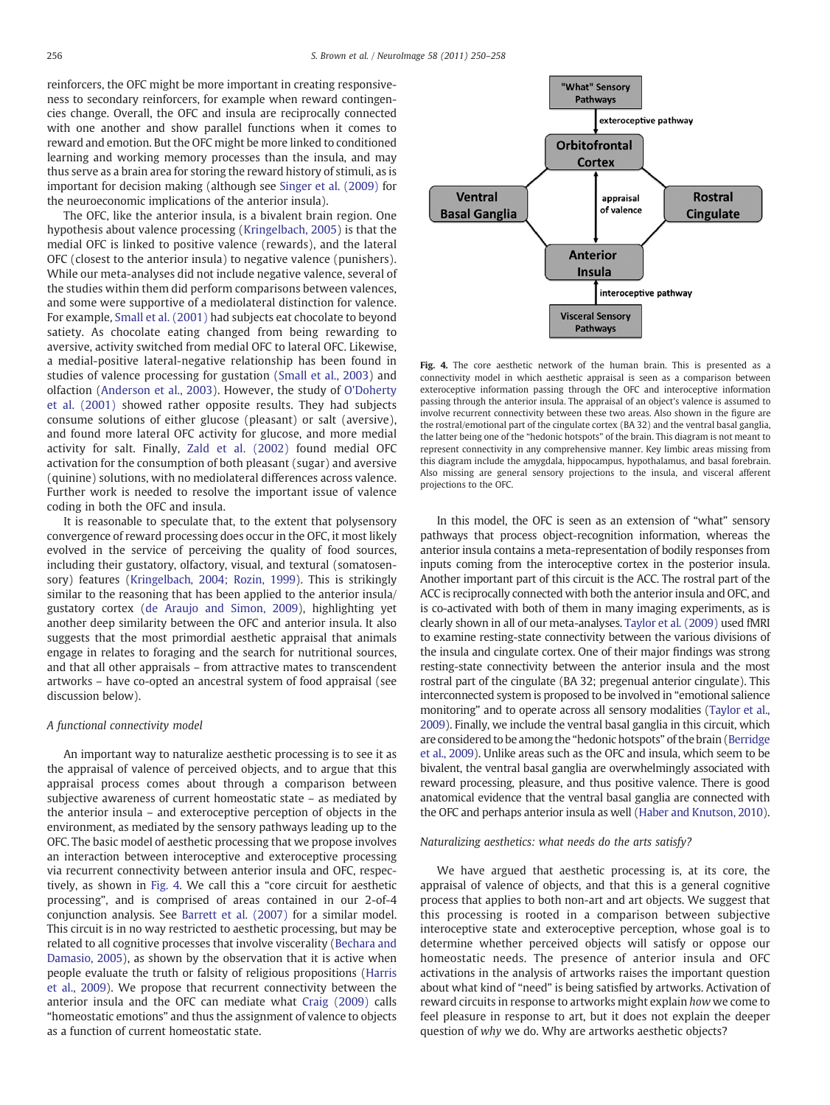reinforcers, the OFC might be more important in creating responsiveness to secondary reinforcers, for example when reward contingencies change. Overall, the OFC and insula are reciprocally connected with one another and show parallel functions when it comes to reward and emotion. But the OFC might be more linked to conditioned learning and working memory processes than the insula, and may thus serve as a brain area for storing the reward history of stimuli, as is important for decision making (although see [Singer et al. \(2009\)](#page-8-0) for the neuroeconomic implications of the anterior insula).

The OFC, like the anterior insula, is a bivalent brain region. One hypothesis about valence processing ([Kringelbach, 2005\)](#page-7-0) is that the medial OFC is linked to positive valence (rewards), and the lateral OFC (closest to the anterior insula) to negative valence (punishers). While our meta-analyses did not include negative valence, several of the studies within them did perform comparisons between valences, and some were supportive of a mediolateral distinction for valence. For example, [Small et al. \(2001\)](#page-8-0) had subjects eat chocolate to beyond satiety. As chocolate eating changed from being rewarding to aversive, activity switched from medial OFC to lateral OFC. Likewise, a medial-positive lateral-negative relationship has been found in studies of valence processing for gustation ([Small et al., 2003\)](#page-8-0) and olfaction ([Anderson et al., 2003\)](#page-7-0). However, the study of [O'Doherty](#page-7-0) [et al. \(2001\)](#page-7-0) showed rather opposite results. They had subjects consume solutions of either glucose (pleasant) or salt (aversive), and found more lateral OFC activity for glucose, and more medial activity for salt. Finally, [Zald et al. \(2002\)](#page-8-0) found medial OFC activation for the consumption of both pleasant (sugar) and aversive (quinine) solutions, with no mediolateral differences across valence. Further work is needed to resolve the important issue of valence coding in both the OFC and insula.

It is reasonable to speculate that, to the extent that polysensory convergence of reward processing does occur in the OFC, it most likely evolved in the service of perceiving the quality of food sources, including their gustatory, olfactory, visual, and textural (somatosensory) features ([Kringelbach, 2004; Rozin, 1999](#page-7-0)). This is strikingly similar to the reasoning that has been applied to the anterior insula/ gustatory cortex [\(de Araujo and Simon, 2009\)](#page-7-0), highlighting yet another deep similarity between the OFC and anterior insula. It also suggests that the most primordial aesthetic appraisal that animals engage in relates to foraging and the search for nutritional sources, and that all other appraisals – from attractive mates to transcendent artworks – have co-opted an ancestral system of food appraisal (see discussion below).

## A functional connectivity model

An important way to naturalize aesthetic processing is to see it as the appraisal of valence of perceived objects, and to argue that this appraisal process comes about through a comparison between subjective awareness of current homeostatic state – as mediated by the anterior insula – and exteroceptive perception of objects in the environment, as mediated by the sensory pathways leading up to the OFC. The basic model of aesthetic processing that we propose involves an interaction between interoceptive and exteroceptive processing via recurrent connectivity between anterior insula and OFC, respectively, as shown in Fig. 4. We call this a "core circuit for aesthetic processing", and is comprised of areas contained in our 2-of-4 conjunction analysis. See [Barrett et al. \(2007\)](#page-7-0) for a similar model. This circuit is in no way restricted to aesthetic processing, but may be related to all cognitive processes that involve viscerality ([Bechara and](#page-7-0) [Damasio, 2005\)](#page-7-0), as shown by the observation that it is active when people evaluate the truth or falsity of religious propositions ([Harris](#page-7-0) [et al., 2009](#page-7-0)). We propose that recurrent connectivity between the anterior insula and the OFC can mediate what [Craig \(2009\)](#page-7-0) calls "homeostatic emotions" and thus the assignment of valence to objects as a function of current homeostatic state.



Fig. 4. The core aesthetic network of the human brain. This is presented as a connectivity model in which aesthetic appraisal is seen as a comparison between exteroceptive information passing through the OFC and interoceptive information passing through the anterior insula. The appraisal of an object's valence is assumed to involve recurrent connectivity between these two areas. Also shown in the figure are the rostral/emotional part of the cingulate cortex (BA 32) and the ventral basal ganglia, the latter being one of the "hedonic hotspots" of the brain. This diagram is not meant to represent connectivity in any comprehensive manner. Key limbic areas missing from this diagram include the amygdala, hippocampus, hypothalamus, and basal forebrain. Also missing are general sensory projections to the insula, and visceral afferent projections to the OFC.

In this model, the OFC is seen as an extension of "what" sensory pathways that process object-recognition information, whereas the anterior insula contains a meta-representation of bodily responses from inputs coming from the interoceptive cortex in the posterior insula. Another important part of this circuit is the ACC. The rostral part of the ACC is reciprocally connected with both the anterior insula and OFC, and is co-activated with both of them in many imaging experiments, as is clearly shown in all of our meta-analyses. [Taylor et al. \(2009\)](#page-8-0) used fMRI to examine resting-state connectivity between the various divisions of the insula and cingulate cortex. One of their major findings was strong resting-state connectivity between the anterior insula and the most rostral part of the cingulate (BA 32; pregenual anterior cingulate). This interconnected system is proposed to be involved in "emotional salience monitoring" and to operate across all sensory modalities [\(Taylor et al.,](#page-8-0) [2009](#page-8-0)). Finally, we include the ventral basal ganglia in this circuit, which are considered to be among the "hedonic hotspots" of the brain ([Berridge](#page-7-0) [et al., 2009](#page-7-0)). Unlike areas such as the OFC and insula, which seem to be bivalent, the ventral basal ganglia are overwhelmingly associated with reward processing, pleasure, and thus positive valence. There is good anatomical evidence that the ventral basal ganglia are connected with the OFC and perhaps anterior insula as well ([Haber and Knutson, 2010\)](#page-7-0).

### Naturalizing aesthetics: what needs do the arts satisfy?

We have argued that aesthetic processing is, at its core, the appraisal of valence of objects, and that this is a general cognitive process that applies to both non-art and art objects. We suggest that this processing is rooted in a comparison between subjective interoceptive state and exteroceptive perception, whose goal is to determine whether perceived objects will satisfy or oppose our homeostatic needs. The presence of anterior insula and OFC activations in the analysis of artworks raises the important question about what kind of "need" is being satisfied by artworks. Activation of reward circuits in response to artworks might explain how we come to feel pleasure in response to art, but it does not explain the deeper question of why we do. Why are artworks aesthetic objects?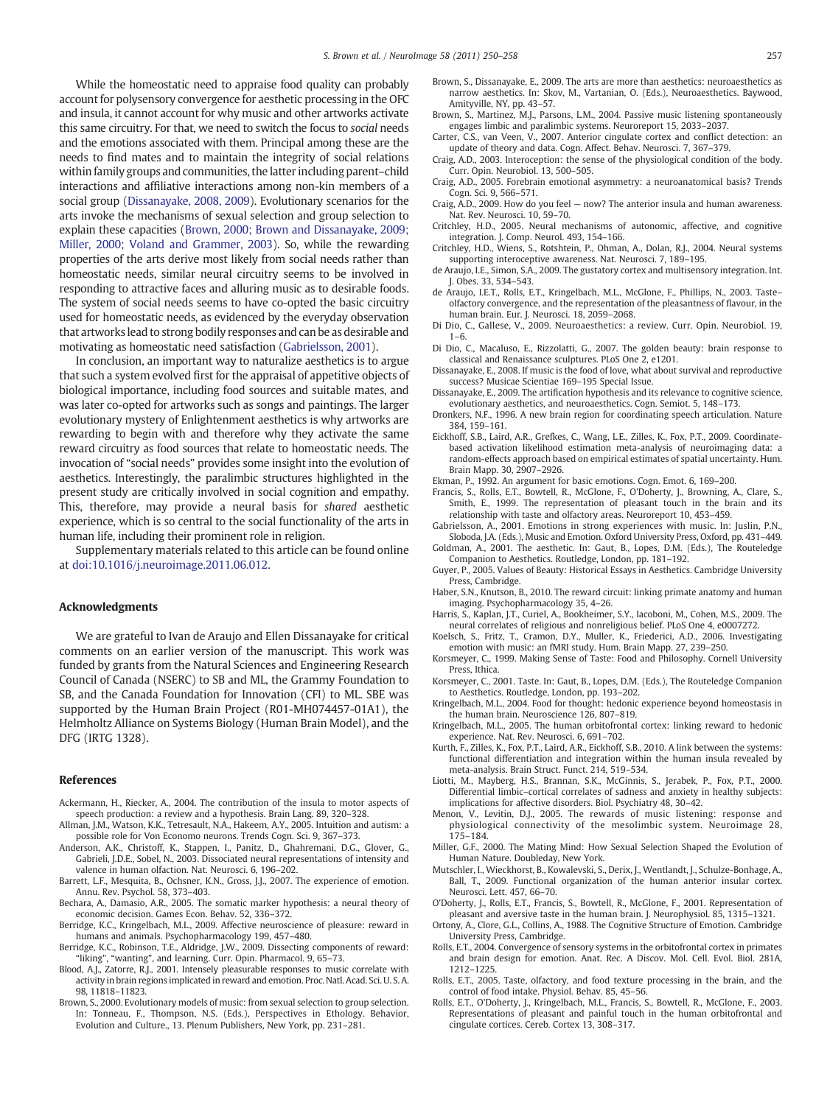<span id="page-7-0"></span>While the homeostatic need to appraise food quality can probably account for polysensory convergence for aesthetic processing in the OFC and insula, it cannot account for why music and other artworks activate this same circuitry. For that, we need to switch the focus to social needs and the emotions associated with them. Principal among these are the needs to find mates and to maintain the integrity of social relations within family groups and communities, the latter including parent–child interactions and affiliative interactions among non-kin members of a social group (Dissanayake, 2008, 2009). Evolutionary scenarios for the arts invoke the mechanisms of sexual selection and group selection to explain these capacities (Brown, 2000; Brown and Dissanayake, 2009; Miller, 2000; Voland and Grammer, 2003). So, while the rewarding properties of the arts derive most likely from social needs rather than homeostatic needs, similar neural circuitry seems to be involved in responding to attractive faces and alluring music as to desirable foods. The system of social needs seems to have co-opted the basic circuitry used for homeostatic needs, as evidenced by the everyday observation that artworks lead to strong bodily responses and can be as desirable and motivating as homeostatic need satisfaction (Gabrielsson, 2001).

In conclusion, an important way to naturalize aesthetics is to argue that such a system evolved first for the appraisal of appetitive objects of biological importance, including food sources and suitable mates, and was later co-opted for artworks such as songs and paintings. The larger evolutionary mystery of Enlightenment aesthetics is why artworks are rewarding to begin with and therefore why they activate the same reward circuitry as food sources that relate to homeostatic needs. The invocation of "social needs" provides some insight into the evolution of aesthetics. Interestingly, the paralimbic structures highlighted in the present study are critically involved in social cognition and empathy. This, therefore, may provide a neural basis for shared aesthetic experience, which is so central to the social functionality of the arts in human life, including their prominent role in religion.

Supplementary materials related to this article can be found online at doi:10.1016/j.neuroimage.2011.06.012.

#### Acknowledgments

We are grateful to Ivan de Araujo and Ellen Dissanayake for critical comments on an earlier version of the manuscript. This work was funded by grants from the Natural Sciences and Engineering Research Council of Canada (NSERC) to SB and ML, the Grammy Foundation to SB, and the Canada Foundation for Innovation (CFI) to ML. SBE was supported by the Human Brain Project (R01-MH074457-01A1), the Helmholtz Alliance on Systems Biology (Human Brain Model), and the DFG (IRTG 1328).

# References

- Ackermann, H., Riecker, A., 2004. The contribution of the insula to motor aspects of speech production: a review and a hypothesis. Brain Lang. 89, 320–328.
- Allman, J.M., Watson, K.K., Tetresault, N.A., Hakeem, A.Y., 2005. Intuition and autism: a possible role for Von Economo neurons. Trends Cogn. Sci. 9, 367–373.
- Anderson, A.K., Christoff, K., Stappen, I., Panitz, D., Ghahremani, D.G., Glover, G., Gabrieli, J.D.E., Sobel, N., 2003. Dissociated neural representations of intensity and valence in human olfaction. Nat. Neurosci. 6, 196–202.
- Barrett, L.F., Mesquita, B., Ochsner, K.N., Gross, J.J., 2007. The experience of emotion. Annu. Rev. Psychol. 58, 373–403.
- Bechara, A., Damasio, A.R., 2005. The somatic marker hypothesis: a neural theory of economic decision. Games Econ. Behav. 52, 336–372.
- Berridge, K.C., Kringelbach, M.L., 2009. Affective neuroscience of pleasure: reward in humans and animals. Psychopharmacology 199, 457–480.
- Berridge, K.C., Robinson, T.E., Aldridge, J.W., 2009. Dissecting components of reward:
- "liking", "wanting", and learning. Curr. Opin. Pharmacol. 9, 65–73. Blood, A.J., Zatorre, R.J., 2001. Intensely pleasurable responses to music correlate with activity in brain regions implicated in reward and emotion. Proc. Natl. Acad. Sci. U. S. A. 98, 11818–11823.
- Brown, S., 2000. Evolutionary models of music: from sexual selection to group selection. In: Tonneau, F., Thompson, N.S. (Eds.), Perspectives in Ethology. Behavior, Evolution and Culture., 13. Plenum Publishers, New York, pp. 231–281.
- Brown, S., Dissanayake, E., 2009. The arts are more than aesthetics: neuroaesthetics as narrow aesthetics. In: Skov, M., Vartanian, O. (Eds.), Neuroaesthetics. Baywood, Amityville, NY, pp. 43–57.
- Brown, S., Martinez, M.J., Parsons, L.M., 2004. Passive music listening spontaneously engages limbic and paralimbic systems. Neuroreport 15, 2033–2037. Carter, C.S., van Veen, V., 2007. Anterior cingulate cortex and conflict detection: an
- update of theory and data. Cogn. Affect. Behav. Neurosci. 7, 367–379.
- Craig, A.D., 2003. Interoception: the sense of the physiological condition of the body. Curr. Opin. Neurobiol. 13, 500–505.
- Craig, A.D., 2005. Forebrain emotional asymmetry: a neuroanatomical basis? Trends Cogn. Sci. 9, 566–571.
- Craig, A.D., 2009. How do you feel now? The anterior insula and human awareness. Nat. Rev. Neurosci. 10, 59–70.
- Critchley, H.D., 2005. Neural mechanisms of autonomic, affective, and cognitive integration. J. Comp. Neurol. 493, 154–166.
- Critchley, H.D., Wiens, S., Rotshtein, P., Ohman, A., Dolan, R.J., 2004. Neural systems supporting interoceptive awareness. Nat. Neurosci. 7, 189–195.
- de Araujo, I.E., Simon, S.A., 2009. The gustatory cortex and multisensory integration. Int. J. Obes. 33, 534–543.
- de Araujo, I.E.T., Rolls, E.T., Kringelbach, M.L., McGlone, F., Phillips, N., 2003. Taste– olfactory convergence, and the representation of the pleasantness of flavour, in the human brain. Eur. J. Neurosci. 18, 2059–2068.
- Di Dio, C., Gallese, V., 2009. Neuroaesthetics: a review. Curr. Opin. Neurobiol. 19,  $1 - 6$ .
- Di Dio, C., Macaluso, E., Rizzolatti, G., 2007. The golden beauty: brain response to classical and Renaissance sculptures. PLoS One 2, e1201.
- Dissanayake, E., 2008. If music is the food of love, what about survival and reproductive success? Musicae Scientiae 169–195 Special Issue.
- Dissanayake, E., 2009. The artification hypothesis and its relevance to cognitive science, evolutionary aesthetics, and neuroaesthetics. Cogn. Semiot. 5, 148–173.
- Dronkers, N.F., 1996. A new brain region for coordinating speech articulation. Nature 384, 159–161.
- Eickhoff, S.B., Laird, A.R., Grefkes, C., Wang, L.E., Zilles, K., Fox, P.T., 2009. Coordinatebased activation likelihood estimation meta-analysis of neuroimaging data: a random-effects approach based on empirical estimates of spatial uncertainty. Hum. Brain Mapp. 30, 2907–2926.
- Ekman, P., 1992. An argument for basic emotions. Cogn. Emot. 6, 169–200.
- Francis, S., Rolls, E.T., Bowtell, R., McGlone, F., O'Doherty, J., Browning, A., Clare, S., Smith, E., 1999. The representation of pleasant touch in the brain and its relationship with taste and olfactory areas. Neuroreport 10, 453–459.
- Gabrielsson, A., 2001. Emotions in strong experiences with music. In: Juslin, P.N., Sloboda, J.A. (Eds.), Music and Emotion. Oxford University Press, Oxford, pp. 431–449.
- Goldman, A., 2001. The aesthetic. In: Gaut, B., Lopes, D.M. (Eds.), The Routeledge Companion to Aesthetics. Routledge, London, pp. 181–192.
- Guyer, P., 2005. Values of Beauty: Historical Essays in Aesthetics. Cambridge University Press, Cambridge.
- Haber, S.N., Knutson, B., 2010. The reward circuit: linking primate anatomy and human imaging. Psychopharmacology 35, 4–26.
- Harris, S., Kaplan, J.T., Curiel, A., Bookheimer, S.Y., Iacoboni, M., Cohen, M.S., 2009. The neural correlates of religious and nonreligious belief. PLoS One 4, e0007272.
- Koelsch, S., Fritz, T., Cramon, D.Y., Muller, K., Friederici, A.D., 2006. Investigating emotion with music: an fMRI study. Hum. Brain Mapp. 27, 239–250.
- Korsmeyer, C., 1999. Making Sense of Taste: Food and Philosophy. Cornell University Press, Ithica.
- Korsmeyer, C., 2001. Taste. In: Gaut, B., Lopes, D.M. (Eds.), The Routeledge Companion to Aesthetics. Routledge, London, pp. 193–202.
- Kringelbach, M.L., 2004. Food for thought: hedonic experience beyond homeostasis in the human brain. Neuroscience 126, 807–819.
- Kringelbach, M.L., 2005. The human orbitofrontal cortex: linking reward to hedonic experience. Nat. Rev. Neurosci. 6, 691–702.
- Kurth, F., Zilles, K., Fox, P.T., Laird, A.R., Eickhoff, S.B., 2010. A link between the systems: functional differentiation and integration within the human insula revealed by meta-analysis. Brain Struct. Funct. 214, 519–534.
- Liotti, M., Mayberg, H.S., Brannan, S.K., McGinnis, S., Jerabek, P., Fox, P.T., 2000. Differential limbic–cortical correlates of sadness and anxiety in healthy subjects: implications for affective disorders. Biol. Psychiatry 48, 30–42.
- Menon, V., Levitin, D.J., 2005. The rewards of music listening: response and physiological connectivity of the mesolimbic system. Neuroimage 28, 175–184.
- Miller, G.F., 2000. The Mating Mind: How Sexual Selection Shaped the Evolution of Human Nature. Doubleday, New York.
- Mutschler, I., Wieckhorst, B., Kowalevski, S., Derix, J., Wentlandt, J., Schulze-Bonhage, A., Ball, T., 2009. Functional organization of the human anterior insular cortex. Neurosci. Lett. 457, 66–70.
- O'Doherty, J., Rolls, E.T., Francis, S., Bowtell, R., McGlone, F., 2001. Representation of pleasant and aversive taste in the human brain. J. Neurophysiol. 85, 1315–1321.
- Ortony, A., Clore, G.L., Collins, A., 1988. The Cognitive Structure of Emotion. Cambridge University Press, Cambridge.
- Rolls, E.T., 2004. Convergence of sensory systems in the orbitofrontal cortex in primates and brain design for emotion. Anat. Rec. A Discov. Mol. Cell. Evol. Biol. 281A, 1212–1225.
- Rolls, E.T., 2005. Taste, olfactory, and food texture processing in the brain, and the control of food intake. Physiol. Behav. 85, 45–56.
- Rolls, E.T., O'Doherty, J., Kringelbach, M.L., Francis, S., Bowtell, R., McGlone, F., 2003. Representations of pleasant and painful touch in the human orbitofrontal and cingulate cortices. Cereb. Cortex 13, 308–317.